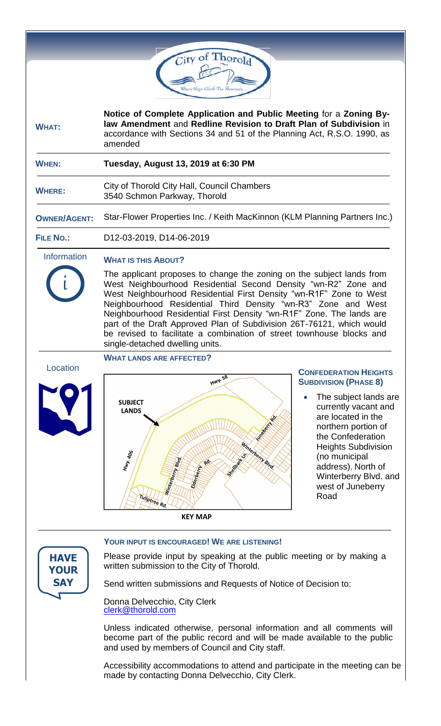

 **WHERE:**

City of Thorold City Hall, Council Chambers 3540 Schmon Parkway, Thorold

**OWNER/AGENT:** Star-Flower Properties Inc. / Keith MacKinnon (KLM Planning Partners Inc.)

 **FILE NO.:** D12-03-2019, D14-06-2019

 Information **WHAT IS THIS ABOUT?**

i

**HAVE YOUR SAY**

The applicant proposes to change the zoning on the subject lands from West Neighbourhood Residential Second Density "wn-R2" Zone and West Neighbourhood Residential First Density "wn-R1F" Zone to West Neighbourhood Residential Third Density "wn-R3" Zone and West Neighbourhood Residential First Density "wn-R1F" Zone. The lands are part of the Draft Approved Plan of Subdivision 26T-76121, which would be revised to facilitate a combination of street townhouse blocks and single-detached dwelling units.

# **WHAT LANDS ARE AFFECTED?** Location **HWY.58 SUBJECT LANDS** Winterbery Blue 406 Hwy. 4 Tuliptree Rd. **KFY MAP**

# **CONFEDERATION HEIGHTS SUBDIVISION (PHASE 8)**

 The subject lands are currently vacant and are located in the northern portion of the Confederation Heights Subdivision (no municipal address), North of Winterberry Blvd. and west of Juneberry Road

**YOUR INPUT IS ENCOURAGED! WE ARE LISTENING!**

Please provide input by speaking at the public meeting or by making a written submission to the City of Thorold.

Send written submissions and Requests of Notice of Decision to:

Donna Delvecchio, City Clerk [clerk@thorold.com](mailto:clerk@thorold.com)

Unless indicated otherwise, personal information and all comments will become part of the public record and will be made available to the public and used by members of Council and City staff.

Accessibility accommodations to attend and participate in the meeting can be made by contacting Donna Delvecchio, City Clerk.